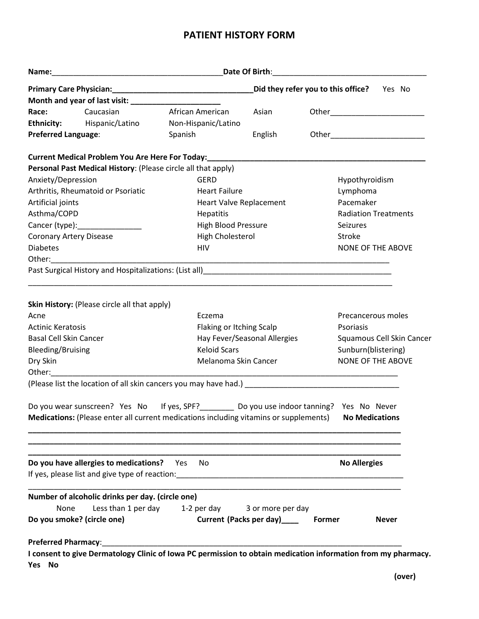# **PATIENT HISTORY FORM**

|                                                      |                                                               | Did they refer you to this office?                                                                                                                                                  |                                                                                                                     |  |                             | Yes No                   |  |
|------------------------------------------------------|---------------------------------------------------------------|-------------------------------------------------------------------------------------------------------------------------------------------------------------------------------------|---------------------------------------------------------------------------------------------------------------------|--|-----------------------------|--------------------------|--|
|                                                      |                                                               |                                                                                                                                                                                     |                                                                                                                     |  |                             |                          |  |
| Race:                                                | Caucasian                                                     | African American                                                                                                                                                                    | Asian                                                                                                               |  |                             |                          |  |
|                                                      | <b>Ethnicity:</b> Hispanic/Latino                             | Non-Hispanic/Latino                                                                                                                                                                 |                                                                                                                     |  |                             |                          |  |
| <b>Preferred Language:</b>                           |                                                               | Spanish                                                                                                                                                                             | English                                                                                                             |  |                             |                          |  |
|                                                      |                                                               | Current Medical Problem You Are Here For Today: _________________________________                                                                                                   |                                                                                                                     |  |                             |                          |  |
|                                                      | Personal Past Medical History: (Please circle all that apply) |                                                                                                                                                                                     |                                                                                                                     |  |                             |                          |  |
| Anxiety/Depression                                   |                                                               | <b>GERD</b>                                                                                                                                                                         |                                                                                                                     |  | Hypothyroidism              |                          |  |
|                                                      | Arthritis, Rheumatoid or Psoriatic                            | <b>Heart Failure</b>                                                                                                                                                                |                                                                                                                     |  | Lymphoma                    |                          |  |
| Artificial joints                                    |                                                               | Heart Valve Replacement                                                                                                                                                             |                                                                                                                     |  | Pacemaker                   |                          |  |
| Asthma/COPD                                          |                                                               | Hepatitis                                                                                                                                                                           |                                                                                                                     |  | <b>Radiation Treatments</b> |                          |  |
|                                                      | Cancer (type): Cancer (type):                                 | High Blood Pressure                                                                                                                                                                 |                                                                                                                     |  | Seizures                    |                          |  |
| <b>Coronary Artery Disease</b>                       |                                                               | High Cholesterol                                                                                                                                                                    |                                                                                                                     |  | Stroke                      |                          |  |
| <b>Diabetes</b>                                      |                                                               | <b>HIV</b>                                                                                                                                                                          |                                                                                                                     |  | <b>NONE OF THE ABOVE</b>    |                          |  |
|                                                      |                                                               |                                                                                                                                                                                     |                                                                                                                     |  |                             |                          |  |
|                                                      |                                                               |                                                                                                                                                                                     | <u> 1989 - Johann John Stoff, deutscher Stoffen und der Stoffen und der Stoffen und der Stoffen und der Stoffen</u> |  |                             |                          |  |
|                                                      | Skin History: (Please circle all that apply)                  |                                                                                                                                                                                     |                                                                                                                     |  |                             |                          |  |
| Acne                                                 |                                                               | Eczema                                                                                                                                                                              |                                                                                                                     |  | Precancerous moles          |                          |  |
| <b>Actinic Keratosis</b><br>Flaking or Itching Scalp |                                                               |                                                                                                                                                                                     |                                                                                                                     |  | Psoriasis                   |                          |  |
| <b>Basal Cell Skin Cancer</b>                        |                                                               |                                                                                                                                                                                     | Hay Fever/Seasonal Allergies                                                                                        |  | Squamous Cell Skin Cancer   |                          |  |
| <b>Bleeding/Bruising</b><br><b>Keloid Scars</b>      |                                                               |                                                                                                                                                                                     |                                                                                                                     |  | Sunburn(blistering)         |                          |  |
| Dry Skin                                             |                                                               |                                                                                                                                                                                     | Melanoma Skin Cancer                                                                                                |  |                             | <b>NONE OF THE ABOVE</b> |  |
|                                                      |                                                               |                                                                                                                                                                                     |                                                                                                                     |  |                             |                          |  |
|                                                      |                                                               | (Please list the location of all skin cancers you may have had.) ___________________________________                                                                                |                                                                                                                     |  |                             |                          |  |
|                                                      |                                                               | Do you wear sunscreen? Yes No If yes, SPF?________ Do you use indoor tanning? Yes No Never<br>Medications: (Please enter all current medications including vitamins or supplements) |                                                                                                                     |  | <b>No Medications</b>       |                          |  |
|                                                      | Do you have allergies to medications?                         | Yes<br>No.                                                                                                                                                                          |                                                                                                                     |  | <b>No Allergies</b>         |                          |  |
|                                                      | Number of alcoholic drinks per day. (circle one)              |                                                                                                                                                                                     |                                                                                                                     |  |                             |                          |  |
| None                                                 |                                                               | Less than 1 per day 1-2 per day                                                                                                                                                     |                                                                                                                     |  |                             |                          |  |
|                                                      | Do you smoke? (circle one)                                    |                                                                                                                                                                                     | 3 or more per day<br>Current (Packs per day)________ Former                                                         |  |                             | <b>Never</b>             |  |
| <b>Preferred Pharmacy:</b>                           |                                                               |                                                                                                                                                                                     |                                                                                                                     |  |                             |                          |  |
| Yes No                                               |                                                               | I consent to give Dermatology Clinic of Iowa PC permission to obtain medication information from my pharmacy.                                                                       |                                                                                                                     |  |                             |                          |  |